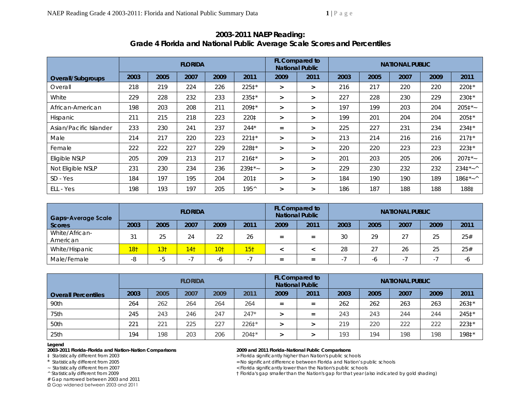|                        | <b>FLORIDA</b> |      |      |      |                |        | <b>FL Compared to</b><br><b>National Public</b> |      |      |      |      |                  |
|------------------------|----------------|------|------|------|----------------|--------|-------------------------------------------------|------|------|------|------|------------------|
| Overall/Subgroups      | 2003           | 2005 | 2007 | 2009 | 2011           | 2009   | 2011                                            | 2003 | 2005 | 2007 | 2009 | 2011             |
| Overall                | 218            | 219  | 224  | 226  | 225‡*          | $\geq$ | $\geq$                                          | 216  | 217  | 220  | 220  | 220‡*            |
| White                  | 229            | 228  | 232  | 233  | 235‡*          | $\geq$ | $\geq$                                          | 227  | 228  | 230  | 229  | 230‡*            |
| African-American       | 198            | 203  | 208  | 211  | 209‡*          | $\geq$ | $\geq$                                          | 197  | 199  | 203  | 204  | $2051*$          |
| Hispanic               | 211            | 215  | 218  | 223  | 220‡           | $\geq$ | $\geq$                                          | 199  | 201  | 204  | 204  | 2051*            |
| Asian/Pacific Islander | 233            | 230  | 241  | 237  | $244*$         | $=$    | $\geq$                                          | 225  | 227  | 231  | 234  | 234 $\ddagger$ * |
| Male                   | 214            | 217  | 220  | 223  | $2211*$        | ⋗      | $\geq$                                          | 213  | 214  | 216  | 216  | $2171*$          |
| Female                 | 222            | 222  | 227  | 229  | 228‡*          | $\geq$ | $\geq$                                          | 220  | 220  | 223  | 223  | 223‡*            |
| Eligible NSLP          | 205            | 209  | 213  | 217  | $2161*$        | $\geq$ | $\geq$                                          | 201  | 203  | 205  | 206  | $2071*$          |
| Not Eligible NSLP      | 231            | 230  | 234  | 236  | $2391*$        | $\geq$ | $\geq$                                          | 229  | 230  | 232  | 232  | $2341*~$         |
| $SD - Yes$             | 184            | 197  | 195  | 204  | 201‡           | $\geq$ | $\geq$                                          | 184  | 190  | 190  | 189  | $1861*~$         |
| ELL - Yes              | 198            | 193  | 197  | 205  | $195^{\wedge}$ | $\geq$ | $\geq$                                          | 186  | 187  | 188  | 188  | 188‡             |

# **2003-2011 NAEP Reading: Grade 4 Florida and National Public Average Scale Scores and Percentiles**

| Gaps-Average Scale         | <b>FLORIDA</b>  |                 |                 |                 |                 |      |      | <b>NATIONAL PUBLIC</b> |      |      |      |      |  |
|----------------------------|-----------------|-----------------|-----------------|-----------------|-----------------|------|------|------------------------|------|------|------|------|--|
| <b>Scores</b>              | 2003            | 2005            | 2007            | 2009            | 2011            | 2009 | 2011 | 2003                   | 2005 | 2007 | 2009 | 2011 |  |
| White/African-<br>American | 31              | 25              | 24              | 22              | 26              | $=$  | $=$  | 30                     | 29   | 27   | 25   | 25#  |  |
| White/Hispanic             | 18 <sub>1</sub> | 13 <sub>1</sub> | 14 <sub>1</sub> | 10 <sub>1</sub> | 15 <sub>1</sub> |      |      | 28                     | 27   | 26   | 25   | 25#  |  |
| Male/Female                | -8              | -5              |                 | -0              |                 | $=$  | $=$  | н.                     | -0   |      | ٠    | -6   |  |

|                            |      |      | <b>FLORIDA</b> |      |         | <b>FL Compared to</b><br><b>National Public</b> |      | <b>NATIONAL PUBLIC</b> |      |      |      |       |  |
|----------------------------|------|------|----------------|------|---------|-------------------------------------------------|------|------------------------|------|------|------|-------|--|
| <b>Overall Percentiles</b> | 2003 | 2005 | 2007           | 2009 | 2011    | 2009                                            | 2011 | 2003                   | 2005 | 2007 | 2009 | 2011  |  |
| 90th                       | 264  | 262  | 264            | 264  | 264     | $=$                                             | $=$  | 262                    | 262  | 263  | 263  | 263‡* |  |
| 75th                       | 245  | 243  | 246            | 247  | $247*$  |                                                 | $=$  | 243                    | 243  | 244  | 244  | 245‡* |  |
| 50th                       | 221  | 221  | 225            | 227  | $2261*$ |                                                 |      | 219                    | 220  | 222  | 222  | 223‡* |  |
| 25 <sub>th</sub>           | 194  | 198  | 203            | 206  | 204‡*   |                                                 |      | 193                    | 194  | 198  | 198  | 198‡* |  |

### **Legend**

**2003-2011 Florida-Florida and Nation-Nation Comparisons 2009 and 2011 Florida-National Public Comparisons** 

# Gap narrowed between 2003 and 2011

Ω Gap widened between 2003 and 2011

‡ Statistically different from 2003 > Florida significantly higher than Nation's public schools

\* Statistically different from 2005 <br>
Statistically different from 2007 <br>
Statistically different from 2007 <br>
Statistically different from 2007 <br>
Statistically different from 2007 <br>
Statistically different from 2007 <br>
Stat

~ Statistically different from 2007 < Florida significantly lower than the Nation's public schools

^ Statistically different from 2009 † Florida's gap smaller than the Nation's gap for that year (also indicated by gold shading)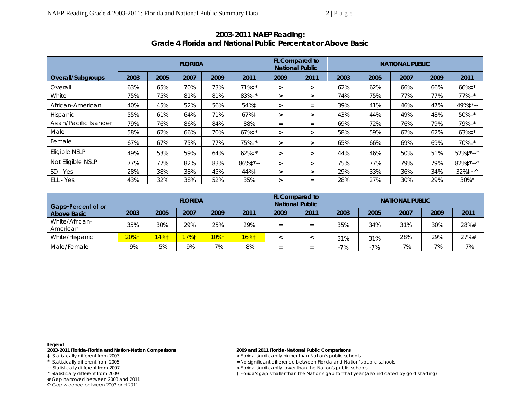| <b>FLORIDA</b>         |      |      |      |      |                  |        | FL Compared to<br><b>National Public</b> |      | <b>NATIONAL PUBLIC</b> |      |      |                         |  |  |
|------------------------|------|------|------|------|------------------|--------|------------------------------------------|------|------------------------|------|------|-------------------------|--|--|
| Overall/Subgroups      | 2003 | 2005 | 2007 | 2009 | 2011             | 2009   | 2011                                     | 2003 | 2005                   | 2007 | 2009 | 2011                    |  |  |
| Overall                | 63%  | 65%  | 70%  | 73%  | 71% $\ddagger$ * | $\geq$ | $\geq$                                   | 62%  | 62%                    | 66%  | 66%  | 66%‡*                   |  |  |
| White                  | 75%  | 75%  | 81%  | 81%  | 83%‡*            | ⋗      | $\geq$                                   | 74%  | 75%                    | 77%  | 77%  | 77%‡*                   |  |  |
| African-American       | 40%  | 45%  | 52%  | 56%  | 54%‡             | ⋗      | $=$                                      | 39%  | 41%                    | 46%  | 47%  | 49%‡*~                  |  |  |
| <b>Hispanic</b>        | 55%  | 61%  | 64%  | 71%  | 67%‡             | $\geq$ | $\geq$                                   | 43%  | 44%                    | 49%  | 48%  | 50%‡*                   |  |  |
| Asian/Pacific Islander | 79%  | 76%  | 86%  | 84%  | 88%              | $=$    | $=$                                      | 69%  | 72%                    | 76%  | 79%  | 79%‡*                   |  |  |
| Male                   | 58%  | 62%  | 66%  | 70%  | 67% $\ddagger$ * | $\geq$ | $\geq$                                   | 58%  | 59%                    | 62%  | 62%  | 63%‡*                   |  |  |
| Female                 | 67%  | 67%  | 75%  | 77%  | 75% $\ddagger$ * | >      | $\geq$                                   | 65%  | 66%                    | 69%  | 69%  | 70%‡*                   |  |  |
| Eligible NSLP          | 49%  | 53%  | 59%  | 64%  | 62%‡*            | ➤      | $\geq$                                   | 44%  | 46%                    | 50%  | 51%  | $52\%$ <sup>*</sup> ~ ^ |  |  |
| Not Eligible NSLP      | 77%  | 77%  | 82%  | 83%  | $86\%1$ *~       | $\geq$ | $\geq$                                   | 75%  | 77%                    | 79%  | 79%  | $82\%$ $\ddagger$ * ~ ^ |  |  |
| SD - Yes               | 28%  | 38%  | 38%  | 45%  | 44%‡             | ⋗      | $\geq$                                   | 29%  | 33%                    | 36%  | 34%  | $32\%1 - ^{\wedge}$     |  |  |
| ELL - Yes              | 43%  | 32%  | 38%  | 52%  | 35%              | ⋗      | $=$                                      | 28%  | 27%                    | 30%  | 29%  | $30\%$ *                |  |  |

## **2003-2011 NAEP Reading: Grade 4 Florida and National Public Percent at or Above** *Basic*

| Gaps-Percent at or         |       |       | <b>FLORIDA</b> |          |       |      | <b>FL Compared to</b><br><b>National Public</b> | <b>NATIONAL PUBLIC</b> |       |       |       |       |  |
|----------------------------|-------|-------|----------------|----------|-------|------|-------------------------------------------------|------------------------|-------|-------|-------|-------|--|
| Above Basic                | 2003  | 2005  | 2007           | 2009     | 2011  | 2009 | 2011                                            | 2003                   | 2005  | 2007  | 2009  | 2011  |  |
| White/African-<br>American | 35%   | 30%   | 29%            | 25%      | 29%   | $=$  | $=$                                             | 35%                    | 34%   | 31%   | 30%   | 28%#  |  |
| White/Hispanic             | 20%1  | 4%1   | 17%1           | $10\%$ † | 16%1  |      |                                                 | 31%                    | 31%   | 28%   | 29%   | 27%#  |  |
| Male/Female                | $-9%$ | $-5%$ | -9%            | $-7%$    | $-8%$ | $=$  | -                                               | $-7%$                  | $-7%$ | $-7%$ | $-7%$ | $-7%$ |  |

### **Legend**

**2003-2011 Florida-Florida and Nation-Nation Comparisons 2009 and 2011 Florida-National Public Comparisons** 

# Gap narrowed between 2003 and 2011

Ω Gap widened between 2003 and 2011

‡ Statistically different from 2003 > Florida significantly higher than Nation's public schools

- \* Statistically different from 2005 <br>
Statistically different from 2007 <br>
Statistically different from 2007 <br>
Statistically different from 2007 <br>
Statistically different from 2007 <br>
Statistically different from 2007 <br>
Stat
	- ~ Statistically different from 2007 < Florida significantly lower than the Nation's public schools

^ Statistically different from 2009 † Florida's gap smaller than the Nation's gap for that year (also indicated by gold shading)